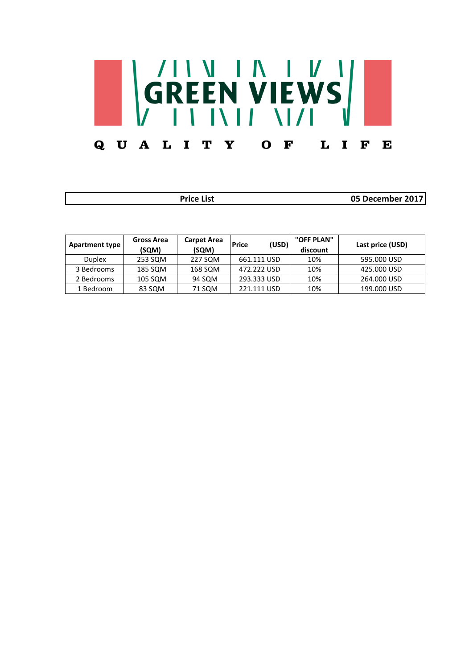

| <b>Price List</b>     |                            |                             |                       | 05 December 2017       |                  |
|-----------------------|----------------------------|-----------------------------|-----------------------|------------------------|------------------|
| <b>Apartment type</b> | <b>Gross Area</b><br>(SQM) | <b>Carpet Area</b><br>(SQM) | (USD)<br><b>Price</b> | "OFF PLAN"<br>discount | Last price (USD) |
| <b>Duplex</b>         | 253 SQM                    | 227 SQM                     | 661.111 USD           | 10%                    | 595,000 USD      |
| 3 Bedrooms            | 185 SQM                    | 168 SQM                     | 472.222 USD           | 10%                    | 425,000 USD      |
| 2 Bedrooms            | 105 SQM                    | 94 SQM                      | 293.333 USD           | 10%                    | 264.000 USD      |
| 1 Bedroom             | 83 SQM                     | 71 SQM                      | 221.111 USD           | 10%                    | 199.000 USD      |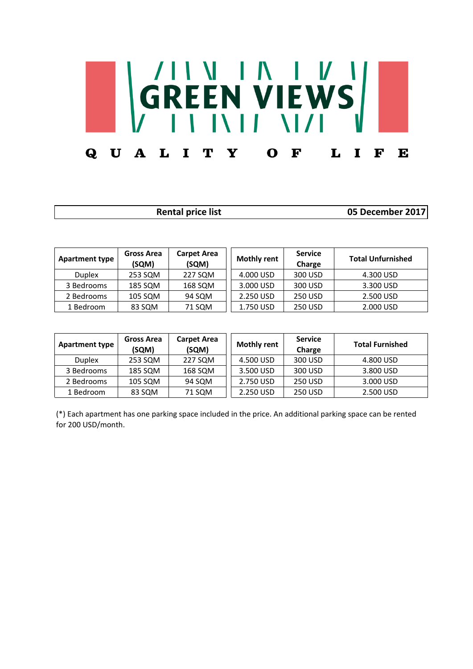## GREEN VIEWS QUALITY O L  $\mathbf I$ F F E

| <b>Rental price list</b> | 05 December 2017 |
|--------------------------|------------------|
|                          |                  |

| <b>Apartment type</b> | Gross Area<br>(SQM) | <b>Carpet Area</b><br>(SQM) | <b>Mothly rent</b> | <b>Service</b><br>Charge | <b>Total Unfurnished</b> |
|-----------------------|---------------------|-----------------------------|--------------------|--------------------------|--------------------------|
| <b>Duplex</b>         | 253 SQM             | 227 SQM                     | 4.000 USD          | 300 USD                  | 4.300 USD                |
| 3 Bedrooms            | 185 SQM             | 168 SQM                     | 3.000 USD          | 300 USD                  | 3.300 USD                |
| 2 Bedrooms            | 105 SQM             | 94 SQM                      | 2.250 USD          | 250 USD                  | 2.500 USD                |
| 1 Bedroom             | 83 SQM              | 71 SQM                      | 1.750 USD          | <b>250 USD</b>           | 2.000 USD                |

| <b>Apartment type</b> | Gross Area<br>(SQM) | <b>Carpet Area</b><br>(SQM) | <b>Mothly rent</b> | <b>Service</b><br>Charge | <b>Total Furnished</b> |
|-----------------------|---------------------|-----------------------------|--------------------|--------------------------|------------------------|
| <b>Duplex</b>         | 253 SQM             | 227 SQM                     | 4.500 USD          | 300 USD                  | 4.800 USD              |
| 3 Bedrooms            | 185 SQM             | 168 SQM                     | 3.500 USD          | 300 USD                  | 3.800 USD              |
| 2 Bedrooms            | 105 SQM             | 94 SQM                      | 2.750 USD          | <b>250 USD</b>           | 3.000 USD              |
| 1 Bedroom             | 83 SQM              | 71 SQM                      | 2.250 USD          | <b>250 USD</b>           | 2.500 USD              |

(\*) Each apartment has one parking space included in the price. An additional parking space can be rented for 200 USD/month.